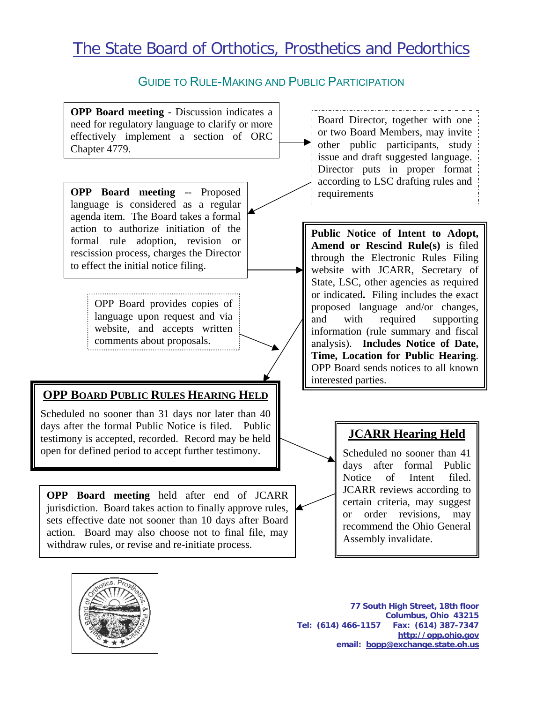# The State Board of Orthotics, Prosthetics and Pedorthics

#### GUIDE TO RULE-MAKING AND PUBLIC PARTICIPATION





**77 South High Street, 18th floor Columbus, Ohio 43215 Tel: (614) 466-1157 Fax: (614) 387-7347 http://opp.ohio.gov email: bopp@exchange.state.oh.us**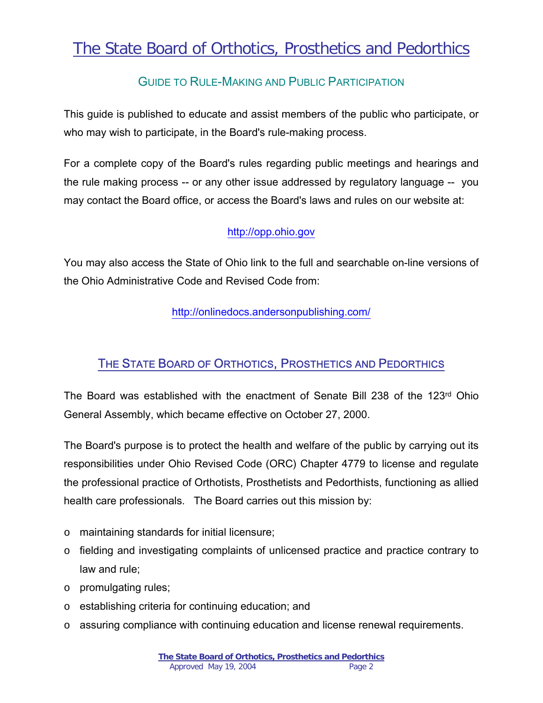# The State Board of Orthotics, Prosthetics and Pedorthics

## GUIDE TO RULE-MAKING AND PUBLIC PARTICIPATION

This guide is published to educate and assist members of the public who participate, or who may wish to participate, in the Board's rule-making process.

For a complete copy of the Board's rules regarding public meetings and hearings and the rule making process -- or any other issue addressed by regulatory language -- you may contact the Board office, or access the Board's laws and rules on our website at:

#### [http://opp.ohio.gov](http://opp.ohio.gov/)

You may also access the State of Ohio link to the full and searchable on-line versions of the Ohio Administrative Code and Revised Code from:

<http://onlinedocs.andersonpublishing.com/>

### THE STATE BOARD OF ORTHOTICS, PROSTHETICS AND PEDORTHICS

The Board was established with the enactment of Senate Bill 238 of the 123<sup>rd</sup> Ohio General Assembly, which became effective on October 27, 2000.

The Board's purpose is to protect the health and welfare of the public by carrying out its responsibilities under Ohio Revised Code (ORC) Chapter 4779 to license and regulate the professional practice of Orthotists, Prosthetists and Pedorthists, functioning as allied health care professionals. The Board carries out this mission by:

- o maintaining standards for initial licensure;
- o fielding and investigating complaints of unlicensed practice and practice contrary to law and rule;
- o promulgating rules;
- o establishing criteria for continuing education; and
- o assuring compliance with continuing education and license renewal requirements.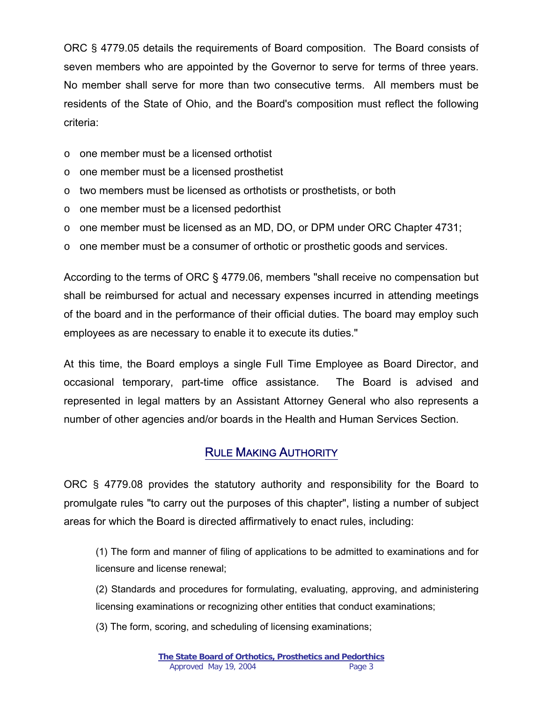ORC § 4779.05 details the requirements of Board composition. The Board consists of seven members who are appointed by the Governor to serve for terms of three years. No member shall serve for more than two consecutive terms. All members must be residents of the State of Ohio, and the Board's composition must reflect the following criteria:

- o one member must be a licensed orthotist
- o one member must be a licensed prosthetist
- o two members must be licensed as orthotists or prosthetists, or both
- o one member must be a licensed pedorthist
- o one member must be licensed as an MD, DO, or DPM under ORC Chapter [4731;](http://onlinedocs.andersonpublishing.com/revisedcode/jumptext.cfm?jumppage=4731)
- $\circ$  one member must be a consumer of orthotic or prosthetic goods and services.

According to the terms of ORC § 4779.06, members "shall receive no compensation but shall be reimbursed for actual and necessary expenses incurred in attending meetings of the board and in the performance of their official duties. The board may employ such employees as are necessary to enable it to execute its duties."

At this time, the Board employs a single Full Time Employee as Board Director, and occasional temporary, part-time office assistance. The Board is advised and represented in legal matters by an Assistant Attorney General who also represents a number of other agencies and/or boards in the Health and Human Services Section.

#### RULE MAKING AUTHORITY

ORC § 4779.08 provides the statutory authority and responsibility for the Board to promulgate rules "to carry out the purposes of this chapter", listing a number of subject areas for which the Board is directed affirmatively to enact rules, including:

(1) The form and manner of filing of applications to be admitted to examinations and for licensure and license renewal;

(2) Standards and procedures for formulating, evaluating, approving, and administering licensing examinations or recognizing other entities that conduct examinations;

(3) The form, scoring, and scheduling of licensing examinations;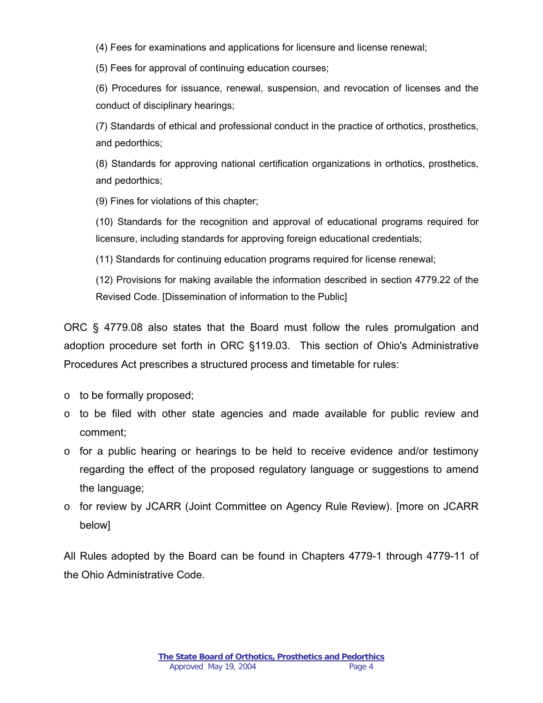(4) Fees for examinations and applications for licensure and license renewal;

(5) Fees for approval of continuing education courses;

(6) Procedures for issuance, renewal, suspension, and revocation of licenses and the conduct of disciplinary hearings;

(7) Standards of ethical and professional conduct in the practice of orthotics, prosthetics, and pedorthics;

(8) Standards for approving national certification organizations in orthotics, prosthetics, and pedorthics;

(9) Fines for violations of this chapter;

(10) Standards for the recognition and approval of educational programs required for licensure, including standards for approving foreign educational credentials;

(11) Standards for continuing education programs required for license renewal;

(12) Provisions for making available the information described in section [4779.22](http://onlinedocs.andersonpublishing.com/revisedcode/jumptext.cfm?jumppage=4779.22) of the Revised Code. [Dissemination of information to the Public]

ORC § 4779.08 also states that the Board must follow the rules promulgation and adoption procedure set forth in ORC §119.03. This section of Ohio's Administrative Procedures Act prescribes a structured process and timetable for rules:

- o to be formally proposed;
- o to be filed with other state agencies and made available for public review and comment;
- $\circ$  for a public hearing or hearings to be held to receive evidence and/or testimony regarding the effect of the proposed regulatory language or suggestions to amend the language;
- o for review by JCARR (Joint Committee on Agency Rule Review). [more on JCARR below]

All Rules adopted by the Board can be found in Chapters 4779-1 through 4779-11 of the Ohio Administrative Code.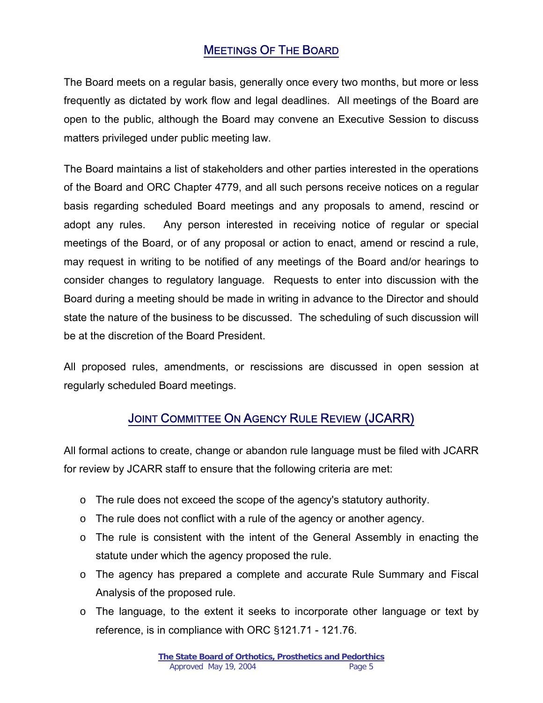## MEETINGS OF THE BOARD

The Board meets on a regular basis, generally once every two months, but more or less frequently as dictated by work flow and legal deadlines. All meetings of the Board are open to the public, although the Board may convene an Executive Session to discuss matters privileged under public meeting law.

The Board maintains a list of stakeholders and other parties interested in the operations of the Board and ORC Chapter 4779, and all such persons receive notices on a regular basis regarding scheduled Board meetings and any proposals to amend, rescind or adopt any rules. Any person interested in receiving notice of regular or special meetings of the Board, or of any proposal or action to enact, amend or rescind a rule, may request in writing to be notified of any meetings of the Board and/or hearings to consider changes to regulatory language. Requests to enter into discussion with the Board during a meeting should be made in writing in advance to the Director and should state the nature of the business to be discussed. The scheduling of such discussion will be at the discretion of the Board President.

All proposed rules, amendments, or rescissions are discussed in open session at regularly scheduled Board meetings.

# JOINT COMMITTEE ON AGENCY RULE REVIEW (JCARR)

All formal actions to create, change or abandon rule language must be filed with JCARR for review by JCARR staff to ensure that the following criteria are met:

- $\circ$  The rule does not exceed the scope of the agency's statutory authority.
- $\circ$  The rule does not conflict with a rule of the agency or another agency.
- o The rule is consistent with the intent of the General Assembly in enacting the statute under which the agency proposed the rule.
- o The agency has prepared a complete and accurate Rule Summary and Fiscal Analysis of the proposed rule.
- $\circ$  The language, to the extent it seeks to incorporate other language or text by reference, is in compliance with ORC §121.71 - 121.76.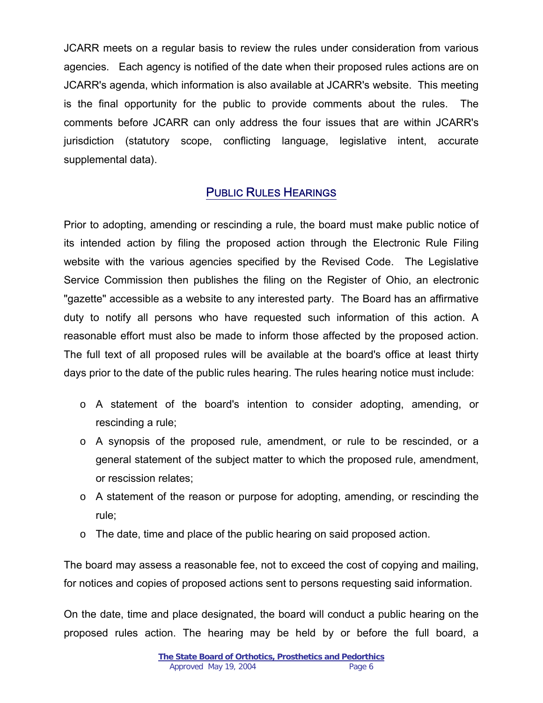JCARR meets on a regular basis to review the rules under consideration from various agencies. Each agency is notified of the date when their proposed rules actions are on JCARR's agenda, which information is also available at JCARR's website. This meeting is the final opportunity for the public to provide comments about the rules. The comments before JCARR can only address the four issues that are within JCARR's jurisdiction (statutory scope, conflicting language, legislative intent, accurate supplemental data).

#### PUBLIC RULES HEARINGS

Prior to adopting, amending or rescinding a rule, the board must make public notice of its intended action by filing the proposed action through the Electronic Rule Filing website with the various agencies specified by the Revised Code. The Legislative Service Commission then publishes the filing on the Register of Ohio, an electronic "gazette" accessible as a website to any interested party. The Board has an affirmative duty to notify all persons who have requested such information of this action. A reasonable effort must also be made to inform those affected by the proposed action. The full text of all proposed rules will be available at the board's office at least thirty days prior to the date of the public rules hearing. The rules hearing notice must include:

- o A statement of the board's intention to consider adopting, amending, or rescinding a rule;
- o A synopsis of the proposed rule, amendment, or rule to be rescinded, or a general statement of the subject matter to which the proposed rule, amendment, or rescission relates;
- o A statement of the reason or purpose for adopting, amending, or rescinding the rule;
- $\circ$  The date, time and place of the public hearing on said proposed action.

The board may assess a reasonable fee, not to exceed the cost of copying and mailing, for notices and copies of proposed actions sent to persons requesting said information.

On the date, time and place designated, the board will conduct a public hearing on the proposed rules action. The hearing may be held by or before the full board, a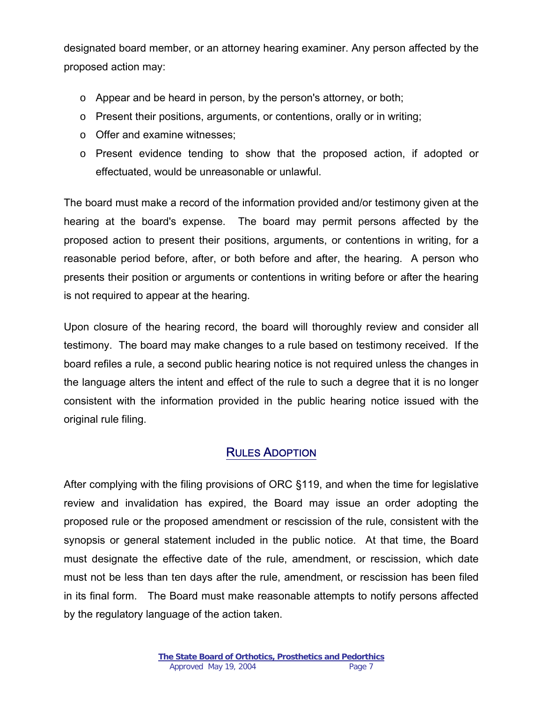designated board member, or an attorney hearing examiner. Any person affected by the proposed action may:

- o Appear and be heard in person, by the person's attorney, or both;
- o Present their positions, arguments, or contentions, orally or in writing;
- o Offer and examine witnesses;
- o Present evidence tending to show that the proposed action, if adopted or effectuated, would be unreasonable or unlawful.

The board must make a record of the information provided and/or testimony given at the hearing at the board's expense. The board may permit persons affected by the proposed action to present their positions, arguments, or contentions in writing, for a reasonable period before, after, or both before and after, the hearing. A person who presents their position or arguments or contentions in writing before or after the hearing is not required to appear at the hearing.

Upon closure of the hearing record, the board will thoroughly review and consider all testimony. The board may make changes to a rule based on testimony received. If the board refiles a rule, a second public hearing notice is not required unless the changes in the language alters the intent and effect of the rule to such a degree that it is no longer consistent with the information provided in the public hearing notice issued with the original rule filing.

#### RULES ADOPTION

After complying with the filing provisions of ORC §119, and when the time for legislative review and invalidation has expired, the Board may issue an order adopting the proposed rule or the proposed amendment or rescission of the rule, consistent with the synopsis or general statement included in the public notice. At that time, the Board must designate the effective date of the rule, amendment, or rescission, which date must not be less than ten days after the rule, amendment, or rescission has been filed in its final form. The Board must make reasonable attempts to notify persons affected by the regulatory language of the action taken.